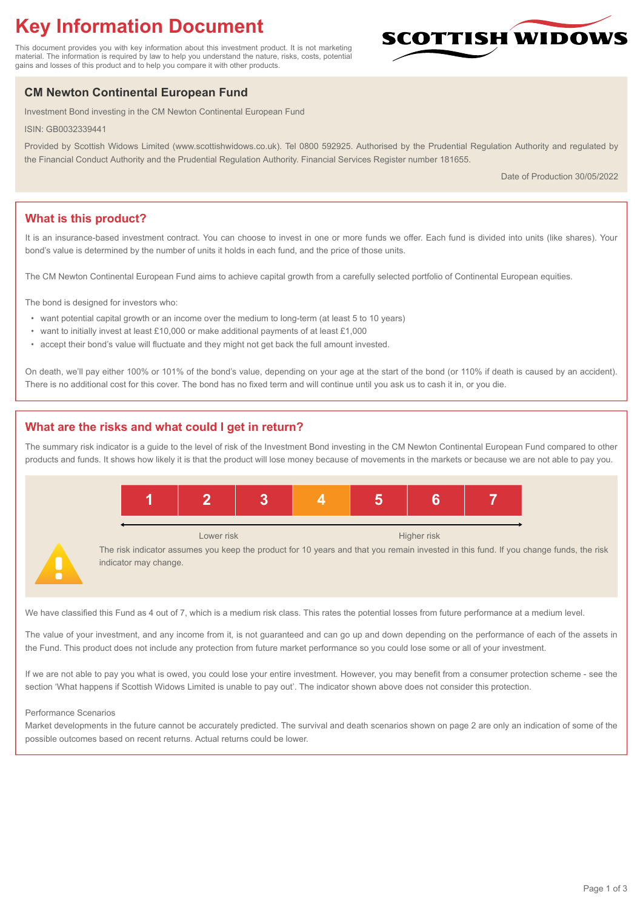# **Key Information Document**

This document provides you with key information about this investment product. It is not marketing material. The information is required by law to help you understand the nature, risks, costs, potential gains and losses of this product and to help you compare it with other products.

## **CM Newton Continental European Fund**

Investment Bond investing in the CM Newton Continental European Fund

ISIN: GB0032339441

Provided by Scottish Widows Limited (www.scottishwidows.co.uk). Tel 0800 592925. Authorised by the Prudential Regulation Authority and regulated by the Financial Conduct Authority and the Prudential Regulation Authority. Financial Services Register number 181655.

Date of Production 30/05/2022

**SCOTTISH WIDOW** 

## **What is this product?**

It is an insurance-based investment contract. You can choose to invest in one or more funds we offer. Each fund is divided into units (like shares). Your bond's value is determined by the number of units it holds in each fund, and the price of those units.

The CM Newton Continental European Fund aims to achieve capital growth from a carefully selected portfolio of Continental European equities.

The bond is designed for investors who:

- want potential capital growth or an income over the medium to long-term (at least 5 to 10 years)
- want to initially invest at least £10,000 or make additional payments of at least £1,000
- accept their bond's value will fluctuate and they might not get back the full amount invested.

On death, we'll pay either 100% or 101% of the bond's value, depending on your age at the start of the bond (or 110% if death is caused by an accident). There is no additional cost for this cover. The bond has no fixed term and will continue until you ask us to cash it in, or you die.

### **What are the risks and what could I get in return?**

The summary risk indicator is a guide to the level of risk of the Investment Bond investing in the CM Newton Continental European Fund compared to other products and funds. It shows how likely it is that the product will lose money because of movements in the markets or because we are not able to pay you.



We have classified this Fund as 4 out of 7, which is a medium risk class. This rates the potential losses from future performance at a medium level.

The value of your investment, and any income from it, is not guaranteed and can go up and down depending on the performance of each of the assets in the Fund. This product does not include any protection from future market performance so you could lose some or all of your investment.

If we are not able to pay you what is owed, you could lose your entire investment. However, you may benefit from a consumer protection scheme - see the section 'What happens if Scottish Widows Limited is unable to pay out'. The indicator shown above does not consider this protection.

#### Performance Scenarios

Market developments in the future cannot be accurately predicted. The survival and death scenarios shown on page 2 are only an indication of some of the possible outcomes based on recent returns. Actual returns could be lower.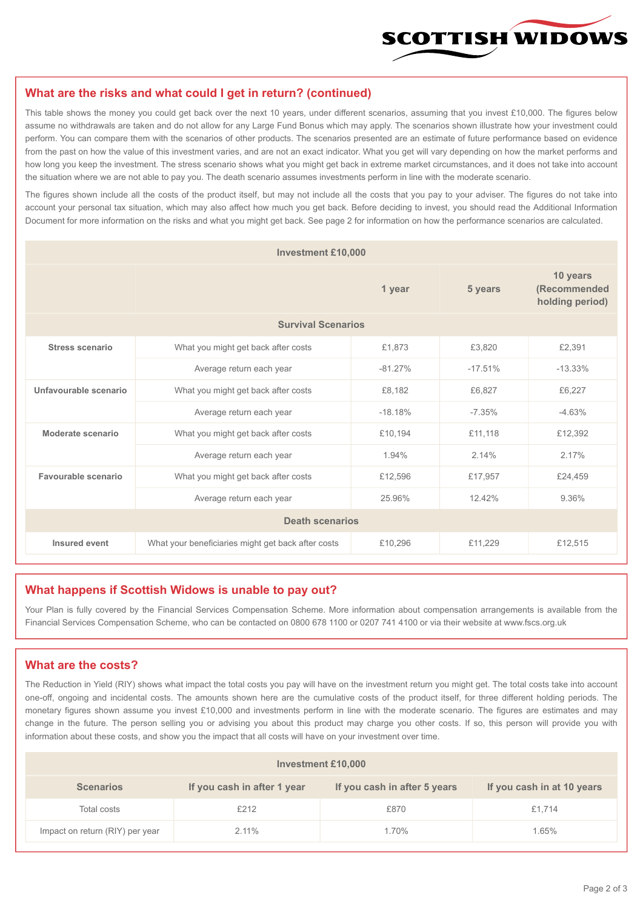

#### **What are the risks and what could I get in return? (continued)**

This table shows the money you could get back over the next 10 years, under different scenarios, assuming that you invest £10,000. The figures below assume no withdrawals are taken and do not allow for any Large Fund Bonus which may apply. The scenarios shown illustrate how your investment could perform. You can compare them with the scenarios of other products. The scenarios presented are an estimate of future performance based on evidence from the past on how the value of this investment varies, and are not an exact indicator. What you get will vary depending on how the market performs and how long you keep the investment. The stress scenario shows what you might get back in extreme market circumstances, and it does not take into account the situation where we are not able to pay you. The death scenario assumes investments perform in line with the moderate scenario.

The figures shown include all the costs of the product itself, but may not include all the costs that you pay to your adviser. The figures do not take into account your personal tax situation, which may also affect how much you get back. Before deciding to invest, you should read the Additional Information Document for more information on the risks and what you might get back. See page 2 for information on how the performance scenarios are calculated.

| <b>Investment £10,000</b> |                                                    |           |                                             |           |  |  |
|---------------------------|----------------------------------------------------|-----------|---------------------------------------------|-----------|--|--|
|                           |                                                    | 5 years   | 10 years<br>(Recommended<br>holding period) |           |  |  |
| <b>Survival Scenarios</b> |                                                    |           |                                             |           |  |  |
| <b>Stress scenario</b>    | What you might get back after costs                | £1,873    | £3,820                                      | £2,391    |  |  |
|                           | $-81.27%$<br>Average return each year              |           | $-17.51%$                                   | $-13.33%$ |  |  |
| Unfavourable scenario     | What you might get back after costs<br>£8,182      |           | £6,827                                      | £6,227    |  |  |
|                           | Average return each year                           | $-18.18%$ | $-7.35%$                                    | $-4.63%$  |  |  |
| Moderate scenario         | What you might get back after costs                | £10,194   | £11,118                                     | £12,392   |  |  |
|                           | Average return each year                           | 1.94%     | 2.14%                                       | 2.17%     |  |  |
| Favourable scenario       | What you might get back after costs                | £12,596   | £17,957                                     | £24,459   |  |  |
|                           | Average return each year                           | 25.96%    |                                             | 9.36%     |  |  |
| <b>Death scenarios</b>    |                                                    |           |                                             |           |  |  |
| Insured event             | What your beneficiaries might get back after costs | £10,296   | £11,229                                     | £12,515   |  |  |

#### **What happens if Scottish Widows is unable to pay out?**

Your Plan is fully covered by the Financial Services Compensation Scheme. More information about compensation arrangements is available from the Financial Services Compensation Scheme, who can be contacted on 0800 678 1100 or 0207 741 4100 or via their website at www.fscs.org.uk

#### **What are the costs?**

The Reduction in Yield (RIY) shows what impact the total costs you pay will have on the investment return you might get. The total costs take into account one-off, ongoing and incidental costs. The amounts shown here are the cumulative costs of the product itself, for three different holding periods. The monetary figures shown assume you invest £10,000 and investments perform in line with the moderate scenario. The figures are estimates and may change in the future. The person selling you or advising you about this product may charge you other costs. If so, this person will provide you with information about these costs, and show you the impact that all costs will have on your investment over time.

| <b>Investment £10,000</b>       |                             |                              |                            |  |  |  |
|---------------------------------|-----------------------------|------------------------------|----------------------------|--|--|--|
| <b>Scenarios</b>                | If you cash in after 1 year | If you cash in after 5 years | If you cash in at 10 years |  |  |  |
| Total costs                     | £212                        | £870                         | £1.714                     |  |  |  |
| Impact on return (RIY) per year | 2.11%                       | 1.70%                        | 1.65%                      |  |  |  |